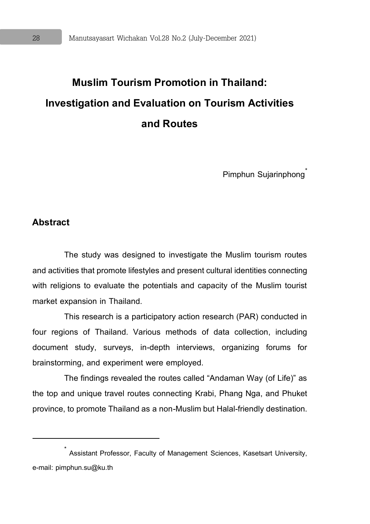## **Muslim Tourism Promotion in Thailand: Investigation and Evaluation on Tourism Activities and Routes**

Pimphun Sujarinphong<sup>\*</sup>

#### **Abstract**

 $\overline{a}$ 

The study was designed to investigate the Muslim tourism routes and activities that promote lifestyles and present cultural identities connecting with religions to evaluate the potentials and capacity of the Muslim tourist market expansion in Thailand.

This research is a participatory action research (PAR) conducted in four regions of Thailand. Various methods of data collection, including document study, surveys, in-depth interviews, organizing forums for brainstorming, and experiment were employed.

The findings revealed the routes called "Andaman Way (of Life)" as the top and unique travel routes connecting Krabi, Phang Nga, and Phuket province, to promote Thailand as a non-Muslim but Halal-friendly destination.

<sup>\*</sup> Assistant Professor, Faculty of Management Sciences, Kasetsart University, e-mail: pimphun.su@ku.th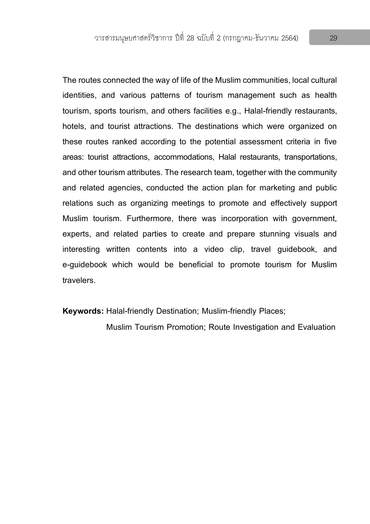The routes connected the way of life of the Muslim communities, local cultural identities, and various patterns of tourism management such as health tourism, sports tourism, and others facilities e.g., Halal-friendly restaurants, hotels, and tourist attractions. The destinations which were organized on these routes ranked according to the potential assessment criteria in five areas: tourist attractions, accommodations, Halal restaurants, transportations, and other tourism attributes. The research team, together with the community and related agencies, conducted the action plan for marketing and public relations such as organizing meetings to promote and effectively support Muslim tourism. Furthermore, there was incorporation with government, experts, and related parties to create and prepare stunning visuals and interesting written contents into a video clip, travel guidebook, and e-guidebook which would be beneficial to promote tourism for Muslim travelers.

**Keywords:** Halal-friendly Destination; Muslim-friendly Places;

Muslim Tourism Promotion; Route Investigation and Evaluation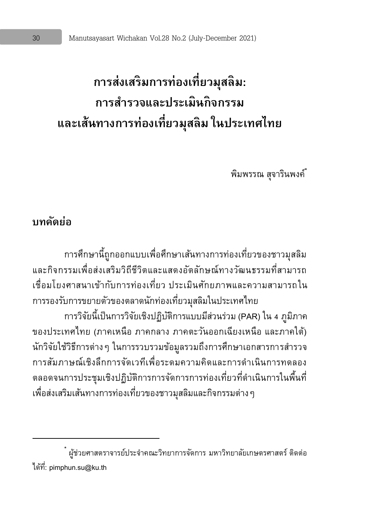# **การส่งเสริมการท่องเที่ยวมสุ ลิม: การสา รวจและประเมินกิจกรรม และเส้นทางการท่องเที่ยวมสุ ลิม ในประเทศไทย**

พิมพรรณ สจารินพงค์

### **บทคดัย่อ**

 $\overline{a}$ 

การศึกษานี้ถูกออกแบบเพื่อศึกษาเส้นทางการท่องเที่ยวของชาวมุสลิม และกิจกรรมเพื่อส่งเสริมวิถีชีวิตและแสดงอัตลักษณ์ทางวัฒนธรรมที่สามารถ เชื่อมโยงศาสนาเข้ากับการท่องเที่ยว ประเมินศักยภาพและความสามารถใน การรองรับการขยายตัวของตลาดนักท่องเที่ยวมุสลิมในประเทศไทย การวิจัยนี้เป็นการวิจัยเชิงปฏิบัติการแบบมีส่วนร่วม (PAR) ใน 4 ภูมิภาค ของประเทศไทย (ภาคเหนือ ภาคกลาง ภาคตะวันออกเฉียงเหนือ และภาคใต้) นักวิจัยใช้วิธีการต่างๆ ในการรวบรวมข้อมูลรวมถึงการศึกษาเอกสารการสำรวจ การสัมภาษณ์เชิงลึกการจัดเวทีเพื่อระดมความคิดและการด าเนินการทดลอง ตลอดจนการประชุมเชิงปฏิบัติการการจัดการการท่องเที่ยวที่ดำเนินการในพื้นที่ เพื่อส่งเสริมเส้นทางการท่องเที่ยวของชาวมุสลิมและกิจกรรมต่างๆ

 $^{*}$  ผู้ช่วยศาสตราจารย์ประจำคณะวิทยาการจัดการ มหาวิทยาลัยเกษตรศาสตร์ ติดต่อ ได้ที่: pimphun.su@ku.th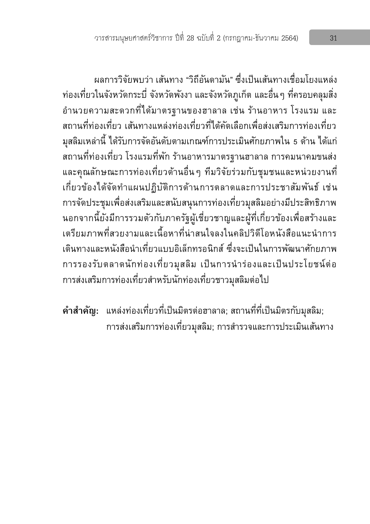ผลการวิจัยพบว่า เส้นทาง "วิถีอันดามัน" ซึ่งเป็นเส้นทางเชื่อมโยงแหล่ง ท่องเที่ยวในจังหวัดกระบี่ จังหวัดพังงา และจังหวัดภูเก็ต และอื่นๆ ที่ครอบคลุมสิ่ง อำนวยความสะดวกที่ได้มาตรฐานของฮาลาล เช่น ร้านอาหาร โรงแรม และ สถานที่ท่องเที่ยว เส้นทางแหล่งท่องเที่ยวที่ได้คัดเลือกเพื่อส่งเสริมการท่องเที่ยว มุสลิมเหล่านี้ ได้รับการจัดอันดับตามเกณฑ์การประเมินศักยภาพใน 5 ด้าน ได้แก่ สถานที่ท่องเที่ยว โรงแรมที่พัก ร้านอาหารมาตรฐานฮาลาล การคมนาคมขนส่ง และคุณลักษณะการท่องเที่ยวด้านอื่น ๆ ทีมวิจัยร่วมกับชุมชนและหน่วยงานที่ เกี่ยวข้องได้จัดทำแผนปฏิบัติการด้านการตลาดและการประชาสัมพันธ์ เช่น การจัดประชุมเพื่อส่งเสริมและสนับสนุนการท่องเที่ยวมุสลิมอย่างมีประสิทธิภาพ นอกจากนี้ยังมีการรวมตัวกับภาครัฐผู้เชี่ยวชาญและผู้ที่เกี่ยวข้องเพื่อสร้างและ เตรียมภาพที่สวยงามและเนื้อหาที่น่าสนใจลงในคลิปวิดีโอหนังสือแนะนำการ ้เดินทางและหนังสือนำเที่ยวแบบอิเล็กทรอนิกส์ ซึ่งจะเป็นในการพัฒนาศักยภาพ การรองรับตลาดนักท่องเที่ยวมุสลิม เป็นการนำร่องและเป็นประโยชน์ต่อ การส่งเสริมการท่องเที่ยวสำหรับนักท่องเที่ยวชาวมุสลิมต่อไป

**ค าส าคัญ:** แหล่งท่องเที่ยวที่เป็นมิตรต่อฮาลาล; สถานที่ที่เป็นมิตรกับมุสลิม; การส่งเสริมการท่องเที่ยวมุสลิม; การสำรวจและการประเมินเส้นทาง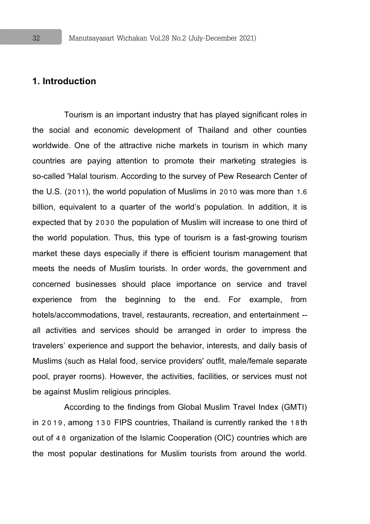#### **1. Introduction**

Tourism is an important industry that has played significant roles in the social and economic development of Thailand and other counties worldwide. One of the attractive niche markets in tourism in which many countries are paying attention to promote their marketing strategies is so-called 'Halal tourism. According to the survey of Pew Research Center of the U.S. (2011), the world population of Muslims in 2010 was more than 1.6 billion, equivalent to a quarter of the world's population. In addition, it is expected that by 2030 the population of Muslim will increase to one third of the world population. Thus, this type of tourism is a fast-growing tourism market these days especially if there is efficient tourism management that meets the needs of Muslim tourists. In order words, the government and concerned businesses should place importance on service and travel experience from the beginning to the end. For example, from hotels/accommodations, travel, restaurants, recreation, and entertainment - all activities and services should be arranged in order to impress the travelers' experience and support the behavior, interests, and daily basis of Muslims (such as Halal food, service providers' outfit, male/female separate pool, prayer rooms). However, the activities, facilities, or services must not be against Muslim religious principles.

According to the findings from Global Muslim Travel Index (GMTI) in 2019, among 130 FIPS countries, Thailand is currently ranked the 18th out of 48 organization of the Islamic Cooperation (OIC) countries which are the most popular destinations for Muslim tourists from around the world.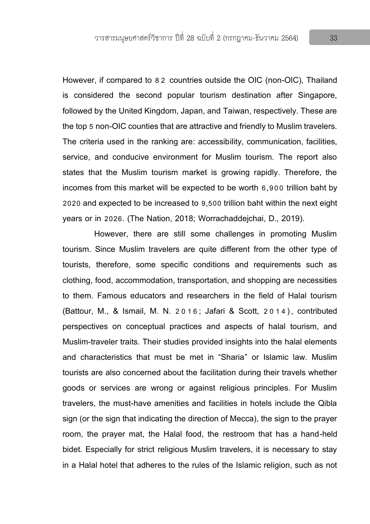However, if compared to 8 2 countries outside the OIC (non-OIC), Thailand is considered the second popular tourism destination after Singapore, followed by the United Kingdom, Japan, and Taiwan, respectively. These are the top 5non-OIC counties that are attractive and friendly to Muslim travelers. The criteria used in the ranking are: accessibility, communication, facilities, service, and conducive environment for Muslim tourism. The report also states that the Muslim tourism market is growing rapidly. Therefore, the incomes from this market will be expected to be worth 6,900 trillion baht by 2020 and expected to be increased to 9,500 trillion baht within the next eight years or in 2026. (The Nation, 2018; Worrachaddejchai, D., 2019).

However, there are still some challenges in promoting Muslim tourism. Since Muslim travelers are quite different from the other type of tourists, therefore, some specific conditions and requirements such as clothing, food, accommodation, transportation, and shopping are necessities to them. Famous educators and researchers in the field of Halal tourism (Battour, M., & Ismail, M. N. 2016; Jafari & Scott, 2014), contributed perspectives on conceptual practices and aspects of halal tourism, and Muslim-traveler traits. Their studies provided insights into the halal elements and characteristics that must be met in "Sharia" or Islamic law. Muslim tourists are also concerned about the facilitation during their travels whether goods or services are wrong or against religious principles. For Muslim travelers, the must-have amenities and facilities in hotels include the Qibla sign (or the sign that indicating the direction of Mecca), the sign to the prayer room, the prayer mat, the Halal food, the restroom that has a hand-held bidet. Especially for strict religious Muslim travelers, it is necessary to stay in a Halal hotel that adheres to the rules of the Islamic religion, such as not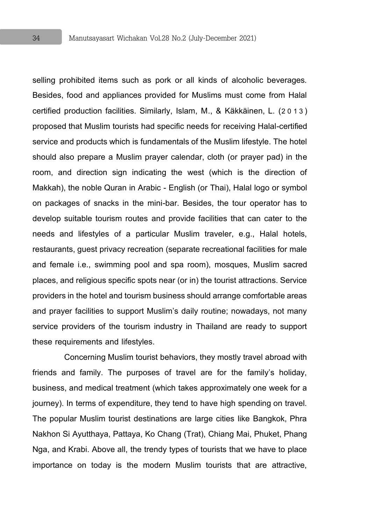selling prohibited items such as pork or all kinds of alcoholic beverages. Besides, food and appliances provided for Muslims must come from Halal certified production facilities. Similarly, Islam, M., & Käkkäinen, L. (2 0 13) proposed that Muslim tourists had specific needs for receiving Halal-certified service and products which is fundamentals of the Muslim lifestyle. The hotel should also prepare a Muslim prayer calendar, cloth (or prayer pad) in the room, and direction sign indicating the west (which is the direction of Makkah), the noble Quran in Arabic - English (or Thai), Halal logo or symbol on packages of snacks in the mini-bar. Besides, the tour operator has to develop suitable tourism routes and provide facilities that can cater to the needs and lifestyles of a particular Muslim traveler, e.g., Halal hotels, restaurants, guest privacy recreation (separate recreational facilities for male and female i.e., swimming pool and spa room), mosques, Muslim sacred places, and religious specific spots near (or in) the tourist attractions. Service providers in the hotel and tourism business should arrange comfortable areas and prayer facilities to support Muslim's daily routine; nowadays, not many service providers of the tourism industry in Thailand are ready to support these requirements and lifestyles.

Concerning Muslim tourist behaviors, they mostly travel abroad with friends and family. The purposes of travel are for the family's holiday, business, and medical treatment (which takes approximately one week for a journey). In terms of expenditure, they tend to have high spending on travel. The popular Muslim tourist destinations are large cities like Bangkok, Phra Nakhon Si Ayutthaya, Pattaya, Ko Chang (Trat), Chiang Mai, Phuket, Phang Nga, and Krabi. Above all, the trendy types of tourists that we have to place importance on today is the modern Muslim tourists that are attractive,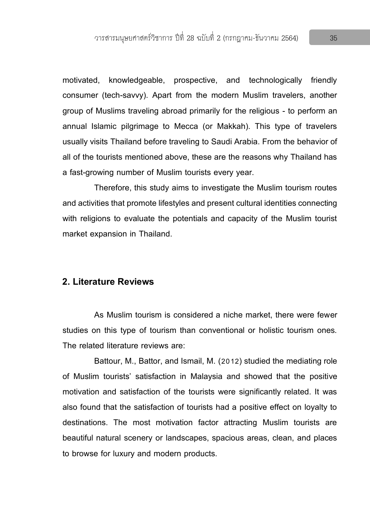motivated, knowledgeable, prospective, and technologically friendly consumer (tech-savvy). Apart from the modern Muslim travelers, another group of Muslims traveling abroad primarily for the religious - to perform an annual Islamic pilgrimage to Mecca (or Makkah). This type of travelers usually visits Thailand before traveling to Saudi Arabia. From the behavior of all of the tourists mentioned above, these are the reasons why Thailand has a fast-growing number of Muslim tourists every year.

Therefore, this study aims to investigate the Muslim tourism routes and activities that promote lifestyles and present cultural identities connecting with religions to evaluate the potentials and capacity of the Muslim tourist market expansion in Thailand.

#### **2. Literature Reviews**

As Muslim tourism is considered a niche market, there were fewer studies on this type of tourism than conventional or holistic tourism ones. The related literature reviews are:

Battour, M., Battor, and Ismail, M. (2012) studied the mediating role of Muslim tourists' satisfaction in Malaysia and showed that the positive motivation and satisfaction of the tourists were significantly related. It was also found that the satisfaction of tourists had a positive effect on loyalty to destinations. The most motivation factor attracting Muslim tourists are beautiful natural scenery or landscapes, spacious areas, clean, and places to browse for luxury and modern products.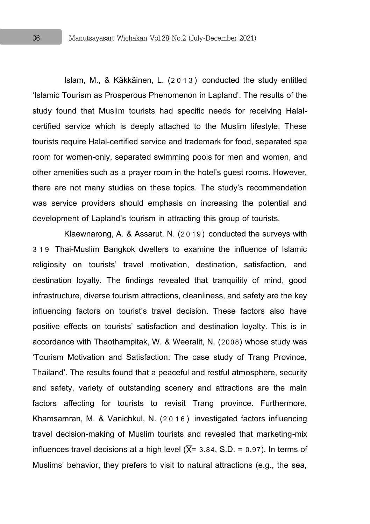Islam, M., & Käkkäinen, L. (2013) conducted the study entitled 'Islamic Tourism as Prosperous Phenomenon in Lapland'. The results of the study found that Muslim tourists had specific needs for receiving Halalcertified service which is deeply attached to the Muslim lifestyle. These tourists require Halal-certified service and trademark for food, separated spa room for women-only, separated swimming pools for men and women, and other amenities such as a prayer room in the hotel's guest rooms. However, there are not many studies on these topics. The study's recommendation was service providers should emphasis on increasing the potential and development of Lapland's tourism in attracting this group of tourists.

Klaewnarong, A. & Assarut, N. (2019) conducted the surveys with 319 Thai-Muslim Bangkok dwellers to examine the influence of Islamic religiosity on tourists' travel motivation, destination, satisfaction, and destination loyalty. The findings revealed that tranquility of mind, good infrastructure, diverse tourism attractions, cleanliness, and safety are the key influencing factors on tourist's travel decision. These factors also have positive effects on tourists' satisfaction and destination loyalty. This is in accordance with Thaothampitak, W. & Weeralit, N. (2008) whose study was 'Tourism Motivation and Satisfaction: The case study of Trang Province, Thailand'. The results found that a peaceful and restful atmosphere, security and safety, variety of outstanding scenery and attractions are the main factors affecting for tourists to revisit Trang province. Furthermore, Khamsamran, M. & Vanichkul, N. (2016) investigated factors influencing travel decision-making of Muslim tourists and revealed that marketing-mix influences travel decisions at a high level  $(X= 3.84, S.D. = 0.97)$ . In terms of Muslims' behavior, they prefers to visit to natural attractions (e.g., the sea,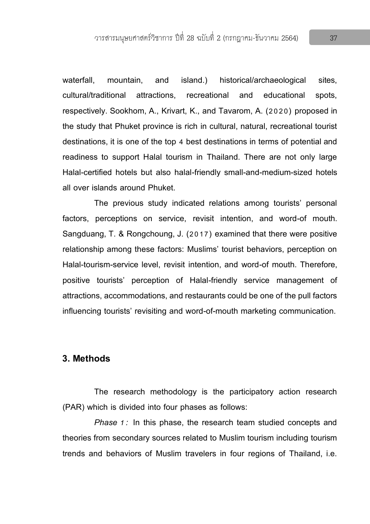waterfall, mountain, and island.) historical/archaeological sites, cultural/traditional attractions, recreational and educational spots, respectively. Sookhom, A., Krivart, K., and Tavarom, A. (2020) proposed in the study that Phuket province is rich in cultural, natural, recreational tourist destinations, it is one of the top 4 best destinations in terms of potential and readiness to support Halal tourism in Thailand. There are not only large Halal-certified hotels but also halal-friendly small-and-medium-sized hotels all over islands around Phuket.

The previous study indicated relations among tourists' personal factors, perceptions on service, revisit intention, and word-of mouth. Sangduang, T. & Rongchoung, J. (2017) examined that there were positive relationship among these factors: Muslims' tourist behaviors, perception on Halal-tourism-service level, revisit intention, and word-of mouth. Therefore, positive tourists' perception of Halal-friendly service management of attractions, accommodations, and restaurants could be one of the pull factors influencing tourists' revisiting and word-of-mouth marketing communication.

#### **3. Methods**

The research methodology is the participatory action research (PAR) which is divided into four phases as follows:

*Phase 1:* In this phase, the research team studied concepts and theories from secondary sources related to Muslim tourism including tourism trends and behaviors of Muslim travelers in four regions of Thailand, i.e.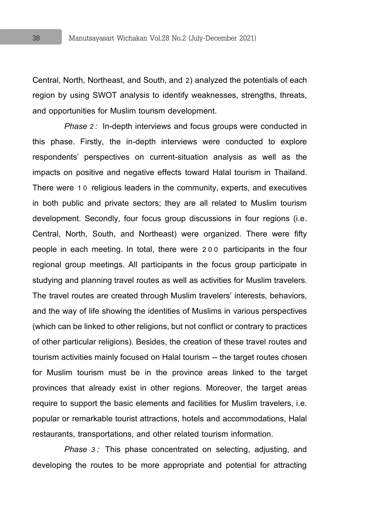Central, North, Northeast, and South, and 2) analyzed the potentials of each region by using SWOT analysis to identify weaknesses, strengths, threats, and opportunities for Muslim tourism development.

*Phase 2:* In-depth interviews and focus groups were conducted in this phase. Firstly, the in-depth interviews were conducted to explore respondents' perspectives on current-situation analysis as well as the impacts on positive and negative effects toward Halal tourism in Thailand. There were 1 0 religious leaders in the community, experts, and executives in both public and private sectors; they are all related to Muslim tourism development. Secondly, four focus group discussions in four regions (i.e. Central, North, South, and Northeast) were organized. There were fifty people in each meeting. In total, there were 200 participants in the four regional group meetings. All participants in the focus group participate in studying and planning travel routes as well as activities for Muslim travelers. The travel routes are created through Muslim travelers' interests, behaviors, and the way of life showing the identities of Muslims in various perspectives (which can be linked to other religions, but not conflict or contrary to practices of other particular religions). Besides, the creation of these travel routes and tourism activities mainly focused on Halal tourism -- the target routes chosen for Muslim tourism must be in the province areas linked to the target provinces that already exist in other regions. Moreover, the target areas require to support the basic elements and facilities for Muslim travelers, i.e. popular or remarkable tourist attractions, hotels and accommodations, Halal restaurants, transportations, and other related tourism information.

*Phase 3:* This phase concentrated on selecting, adjusting, and developing the routes to be more appropriate and potential for attracting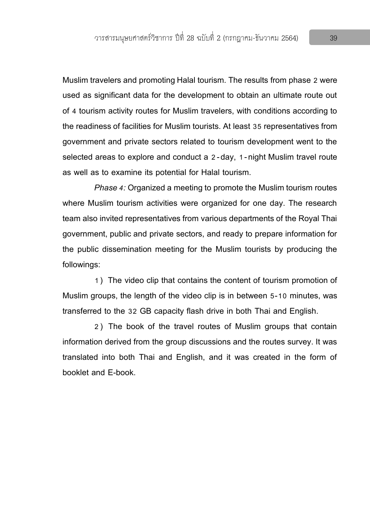Muslim travelers and promoting Halal tourism. The results from phase 2 were used as significant data for the development to obtain an ultimate route out of 4 tourism activity routes for Muslim travelers, with conditions according to the readiness of facilities for Muslim tourists. At least 35representatives from government and private sectors related to tourism development went to the selected areas to explore and conduct a 2-day, 1-night Muslim travel route as well as to examine its potential for Halal tourism.

*Phase 4:* Organized a meeting to promote the Muslim tourism routes where Muslim tourism activities were organized for one day. The research team also invited representatives from various departments of the Royal Thai government, public and private sectors, and ready to prepare information for the public dissemination meeting for the Muslim tourists by producing the followings:

1) The video clip that contains the content of tourism promotion of Muslim groups, the length of the video clip is in between 5-10 minutes, was transferred to the 32 GB capacity flash drive in both Thai and English.

2) The book of the travel routes of Muslim groups that contain information derived from the group discussions and the routes survey. It was translated into both Thai and English, and it was created in the form of booklet and E-book.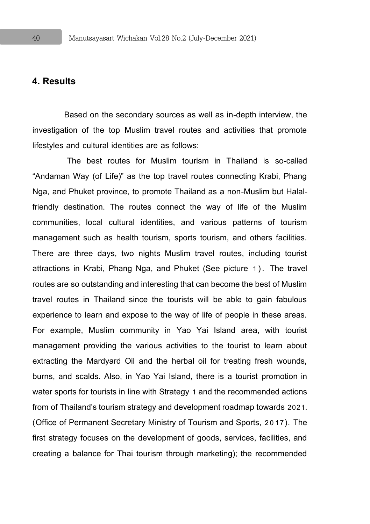#### **4. Results**

Based on the secondary sources as well as in-depth interview, the investigation of the top Muslim travel routes and activities that promote lifestyles and cultural identities are as follows:

The best routes for Muslim tourism in Thailand is so-called "Andaman Way (of Life)" as the top travel routes connecting Krabi, Phang Nga, and Phuket province, to promote Thailand as a non-Muslim but Halalfriendly destination. The routes connect the way of life of the Muslim communities, local cultural identities, and various patterns of tourism management such as health tourism, sports tourism, and others facilities. There are three days, two nights Muslim travel routes, including tourist attractions in Krabi, Phang Nga, and Phuket (See picture 1). The travel routes are so outstanding and interesting that can become the best of Muslim travel routes in Thailand since the tourists will be able to gain fabulous experience to learn and expose to the way of life of people in these areas. For example, Muslim community in Yao Yai Island area, with tourist management providing the various activities to the tourist to learn about extracting the Mardyard Oil and the herbal oil for treating fresh wounds, burns, and scalds. Also, in Yao Yai Island, there is a tourist promotion in water sports for tourists in line with Strategy 1 and the recommended actions from of Thailand's tourism strategy and development roadmap towards 2021. (Office of Permanent Secretary Ministry of Tourism and Sports, 2017). The first strategy focuses on the development of goods, services, facilities, and creating a balance for Thai tourism through marketing); the recommended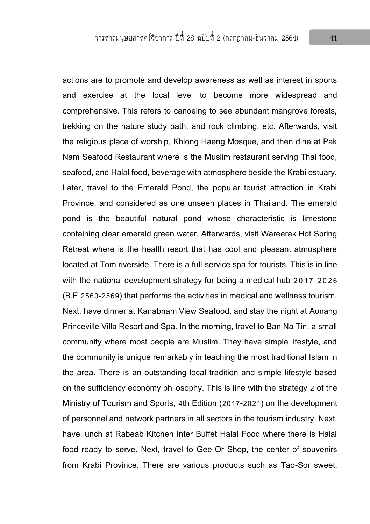actions are to promote and develop awareness as well as interest in sports and exercise at the local level to become more widespread and comprehensive. This refers to canoeing to see abundant mangrove forests, trekking on the nature study path, and rock climbing, etc. Afterwards, visit the religious place of worship, Khlong Haeng Mosque, and then dine at Pak Nam Seafood Restaurant where is the Muslim restaurant serving Thai food, seafood, and Halal food, beverage with atmosphere beside the Krabi estuary. Later, travel to the Emerald Pond, the popular tourist attraction in Krabi Province, and considered as one unseen places in Thailand. The emerald pond is the beautiful natural pond whose characteristic is limestone containing clear emerald green water. Afterwards, visit Wareerak Hot Spring Retreat where is the health resort that has cool and pleasant atmosphere located at Tom riverside. There is a full-service spa for tourists. This is in line with the national development strategy for being a medical hub 2017-2026 (B.E 2560-2569) that performs the activities in medical and wellness tourism. Next, have dinner at Kanabnam View Seafood, and stay the night at Aonang Princeville Villa Resort and Spa. In the morning, travel to Ban Na Tin, a small community where most people are Muslim. They have simple lifestyle, and the community is unique remarkably in teaching the most traditional Islam in the area. There is an outstanding local tradition and simple lifestyle based on the sufficiency economy philosophy.This is line with the strategy 2 of the Ministry of Tourism and Sports, 4th Edition (2017-2021) on the development of personnel and network partners in all sectors in the tourism industry. Next, have lunch at Rabeab Kitchen Inter Buffet Halal Food where there is Halal food ready to serve. Next, travel to Gee-Or Shop, the center of souvenirs from Krabi Province. There are various products such as Tao-Sor sweet,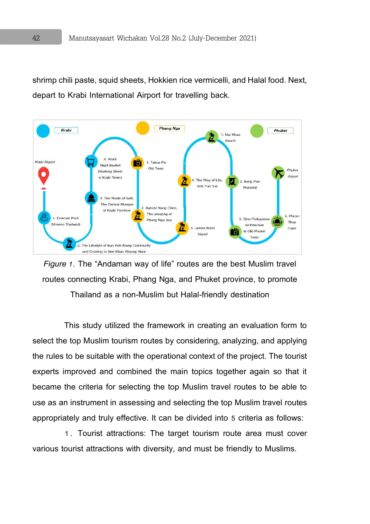shrimp chili paste, squid sheets, Hokkien rice vermicelli, and Halal food. Next, depart to Krabi International Airport for travelling back.





This study utilized the framework in creating an evaluation form to select the top Muslim tourism routes by considering, analyzing, and applying the rules to be suitable with the operational context of the project. The tourist experts improved and combined the main topics together again so that it became the criteria for selecting the top Muslim travel routes to be able to use as an instrument in assessing and selecting the top Muslim travel routes appropriately and truly effective. It can be divided into 5 criteria as follows:

1. Tourist attractions: The target tourism route area must cover various tourist attractions with diversity, and must be friendly to Muslims.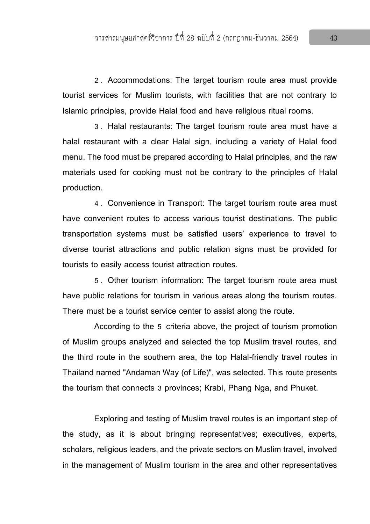2. Accommodations: The target tourism route area must provide tourist services for Muslim tourists, with facilities that are not contrary to Islamic principles, provide Halal food and have religious ritual rooms.

3. Halal restaurants: The target tourism route area must have a halal restaurant with a clear Halal sign, including a variety of Halal food menu. The food must be prepared according to Halal principles, and the raw materials used for cooking must not be contrary to the principles of Halal production.

4. Convenience in Transport: The target tourism route area must have convenient routes to access various tourist destinations. The public transportation systems must be satisfied users' experience to travel to diverse tourist attractions and public relation signs must be provided for tourists to easily access tourist attraction routes.

5. Other tourism information: The target tourism route area must have public relations for tourism in various areas along the tourism routes. There must be a tourist service center to assist along the route.

According to the 5 criteria above, the project of tourism promotion of Muslim groups analyzed and selected the top Muslim travel routes, and the third route in the southern area, the top Halal-friendly travel routes in Thailand named "Andaman Way (of Life)", was selected. This route presents the tourism that connects 3 provinces; Krabi, Phang Nga, and Phuket.

Exploring and testing of Muslim travel routes is an important step of the study, as it is about bringing representatives; executives, experts, scholars, religious leaders, and the private sectors on Muslim travel, involved in the management of Muslim tourism in the area and other representatives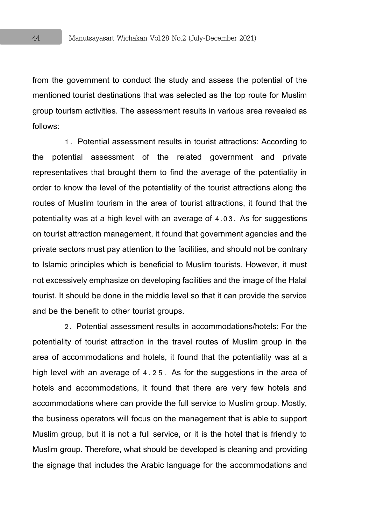from the government to conduct the study and assess the potential of the mentioned tourist destinations that was selected as the top route for Muslim group tourism activities. The assessment results in various area revealed as follows:

1. Potential assessment results in tourist attractions: According to the potential assessment of the related government and private representatives that brought them to find the average of the potentiality in order to know the level of the potentiality of the tourist attractions along the routes of Muslim tourism in the area of tourist attractions, it found that the potentiality was at a high level with an average of 4.03. As for suggestions on tourist attraction management, it found that government agencies and the private sectors must pay attention to the facilities, and should not be contrary to Islamic principles which is beneficial to Muslim tourists. However, it must not excessively emphasize on developing facilities and the image of the Halal tourist. It should be done in the middle level so that it can provide the service and be the benefit to other tourist groups.

2. Potential assessment results in accommodations/hotels: For the potentiality of tourist attraction in the travel routes of Muslim group in the area of accommodations and hotels, it found that the potentiality was at a high level with an average of 4.2 5. As for the suggestions in the area of hotels and accommodations, it found that there are very few hotels and accommodations where can provide the full service to Muslim group. Mostly, the business operators will focus on the management that is able to support Muslim group, but it is not a full service, or it is the hotel that is friendly to Muslim group. Therefore, what should be developed is cleaning and providing the signage that includes the Arabic language for the accommodations and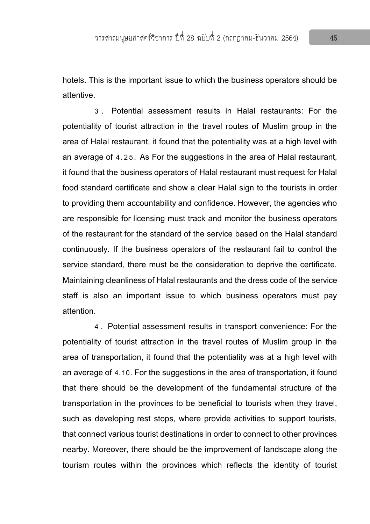hotels. This is the important issue to which the business operators should be attentive.

3 . Potential assessment results in Halal restaurants: For the potentiality of tourist attraction in the travel routes of Muslim group in the area of Halal restaurant, it found that the potentiality was at a high level with an average of 4.25. As For the suggestions in the area of Halal restaurant, it found that the business operators of Halal restaurant must request for Halal food standard certificate and show a clear Halal sign to the tourists in order to providing them accountability and confidence. However, the agencies who are responsible for licensing must track and monitor the business operators of the restaurant for the standard of the service based on the Halal standard continuously. If the business operators of the restaurant fail to control the service standard, there must be the consideration to deprive the certificate. Maintaining cleanliness of Halal restaurants and the dress code of the service staff is also an important issue to which business operators must pay attention.

4. Potential assessment results in transport convenience: For the potentiality of tourist attraction in the travel routes of Muslim group in the area of transportation, it found that the potentiality was at a high level with an average of 4.10. For the suggestions in the area of transportation, it found that there should be the development of the fundamental structure of the transportation in the provinces to be beneficial to tourists when they travel, such as developing rest stops, where provide activities to support tourists, that connect various tourist destinations in order to connect to other provinces nearby. Moreover, there should be the improvement of landscape along the tourism routes within the provinces which reflects the identity of tourist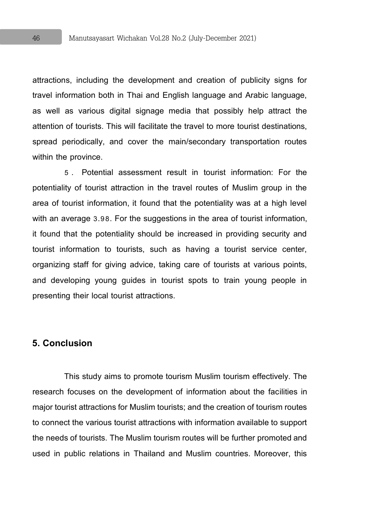attractions, including the development and creation of publicity signs for travel information both in Thai and English language and Arabic language, as well as various digital signage media that possibly help attract the attention of tourists. This will facilitate the travel to more tourist destinations, spread periodically, and cover the main/secondary transportation routes within the province.

5 . Potential assessment result in tourist information: For the potentiality of tourist attraction in the travel routes of Muslim group in the area of tourist information, it found that the potentiality was at a high level with an average 3.98. For the suggestions in the area of tourist information, it found that the potentiality should be increased in providing security and tourist information to tourists, such as having a tourist service center, organizing staff for giving advice, taking care of tourists at various points, and developing young guides in tourist spots to train young people in presenting their local tourist attractions.

#### **5. Conclusion**

This study aims to promote tourism Muslim tourism effectively. The research focuses on the development of information about the facilities in major tourist attractions for Muslim tourists; and the creation of tourism routes to connect the various tourist attractions with information available to support the needs of tourists. The Muslim tourism routes will be further promoted and used in public relations in Thailand and Muslim countries. Moreover, this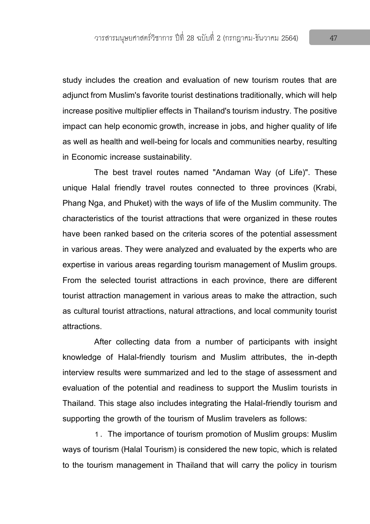study includes the creation and evaluation of new tourism routes that are adjunct from Muslim's favorite tourist destinations traditionally, which will help increase positive multiplier effects in Thailand's tourism industry. The positive impact can help economic growth, increase in jobs, and higher quality of life as well as health and well-being for locals and communities nearby, resulting in Economic increase sustainability.

The best travel routes named "Andaman Way (of Life)". These unique Halal friendly travel routes connected to three provinces (Krabi, Phang Nga, and Phuket) with the ways of life of the Muslim community. The characteristics of the tourist attractions that were organized in these routes have been ranked based on the criteria scores of the potential assessment in various areas. They were analyzed and evaluated by the experts who are expertise in various areas regarding tourism management of Muslim groups. From the selected tourist attractions in each province, there are different tourist attraction management in various areas to make the attraction, such as cultural tourist attractions, natural attractions, and local community tourist attractions.

After collecting data from a number of participants with insight knowledge of Halal-friendly tourism and Muslim attributes, the in-depth interview results were summarized and led to the stage of assessment and evaluation of the potential and readiness to support the Muslim tourists in Thailand. This stage also includes integrating the Halal-friendly tourism and supporting the growth of the tourism of Muslim travelers as follows:

1. The importance of tourism promotion of Muslim groups: Muslim ways of tourism (Halal Tourism) is considered the new topic, which is related to the tourism management in Thailand that will carry the policy in tourism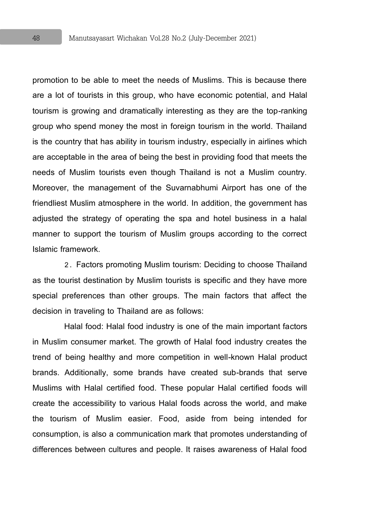promotion to be able to meet the needs of Muslims. This is because there are a lot of tourists in this group, who have economic potential, and Halal tourism is growing and dramatically interesting as they are the top-ranking group who spend money the most in foreign tourism in the world. Thailand is the country that has ability in tourism industry, especially in airlines which are acceptable in the area of being the best in providing food that meets the needs of Muslim tourists even though Thailand is not a Muslim country. Moreover, the management of the Suvarnabhumi Airport has one of the friendliest Muslim atmosphere in the world. In addition, the government has adjusted the strategy of operating the spa and hotel business in a halal manner to support the tourism of Muslim groups according to the correct Islamic framework.

2. Factors promoting Muslim tourism: Deciding to choose Thailand as the tourist destination by Muslim tourists is specific and they have more special preferences than other groups. The main factors that affect the decision in traveling to Thailand are as follows:

Halal food: Halal food industry is one of the main important factors in Muslim consumer market. The growth of Halal food industry creates the trend of being healthy and more competition in well-known Halal product brands. Additionally, some brands have created sub-brands that serve Muslims with Halal certified food. These popular Halal certified foods will create the accessibility to various Halal foods across the world, and make the tourism of Muslim easier. Food, aside from being intended for consumption, is also a communication mark that promotes understanding of differences between cultures and people. It raises awareness of Halal food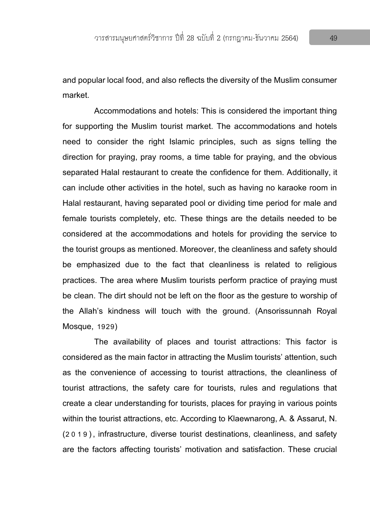and popular local food, and also reflects the diversity of the Muslim consumer market.

Accommodations and hotels: This is considered the important thing for supporting the Muslim tourist market. The accommodations and hotels need to consider the right Islamic principles, such as signs telling the direction for praying, pray rooms, a time table for praying, and the obvious separated Halal restaurant to create the confidence for them. Additionally, it can include other activities in the hotel, such as having no karaoke room in Halal restaurant, having separated pool or dividing time period for male and female tourists completely, etc. These things are the details needed to be considered at the accommodations and hotels for providing the service to the tourist groups as mentioned. Moreover, the cleanliness and safety should be emphasized due to the fact that cleanliness is related to religious practices. The area where Muslim tourists perform practice of praying must be clean. The dirt should not be left on the floor as the gesture to worship of the Allah's kindness will touch with the ground. (Ansorissunnah Royal Mosque, 1929)

The availability of places and tourist attractions: This factor is considered as the main factor in attracting the Muslim tourists' attention, such as the convenience of accessing to tourist attractions, the cleanliness of tourist attractions, the safety care for tourists, rules and regulations that create a clear understanding for tourists, places for praying in various points within the tourist attractions, etc. According to Klaewnarong, A. & Assarut, N. (2019), infrastructure, diverse tourist destinations, cleanliness, and safety are the factors affecting tourists' motivation and satisfaction. These crucial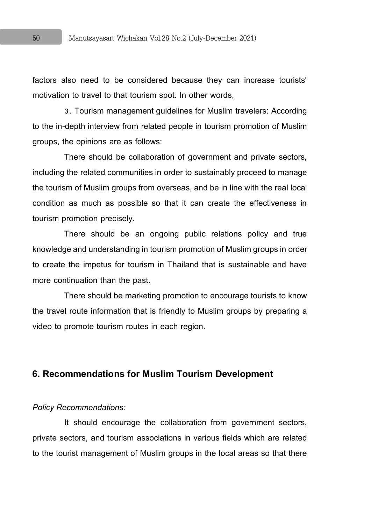factors also need to be considered because they can increase tourists' motivation to travel to that tourism spot. In other words,

3. Tourism management guidelines for Muslim travelers: According to the in-depth interview from related people in tourism promotion of Muslim groups, the opinions are as follows:

There should be collaboration of government and private sectors, including the related communities in order to sustainably proceed to manage the tourism of Muslim groups from overseas, and be in line with the real local condition as much as possible so that it can create the effectiveness in tourism promotion precisely.

There should be an ongoing public relations policy and true knowledge and understanding in tourism promotion of Muslim groups in order to create the impetus for tourism in Thailand that is sustainable and have more continuation than the past.

There should be marketing promotion to encourage tourists to know the travel route information that is friendly to Muslim groups by preparing a video to promote tourism routes in each region.

#### **6. Recommendations for Muslim Tourism Development**

#### *Policy Recommendations:*

It should encourage the collaboration from government sectors, private sectors, and tourism associations in various fields which are related to the tourist management of Muslim groups in the local areas so that there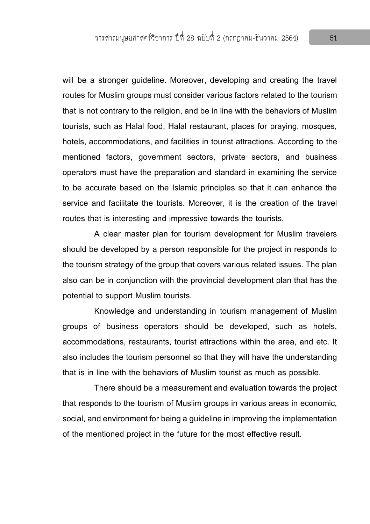will be a stronger guideline. Moreover, developing and creating the travel routes for Muslim groups must consider various factors related to the tourism that is not contrary to the religion, and be in line with the behaviors of Muslim tourists, such as Halal food, Halal restaurant, places for praying, mosques, hotels, accommodations, and facilities in tourist attractions. According to the mentioned factors, government sectors, private sectors, and business operators must have the preparation and standard in examining the service to be accurate based on the Islamic principles so that it can enhance the service and facilitate the tourists. Moreover, it is the creation of the travel routes that is interesting and impressive towards the tourists.

A clear master plan for tourism development for Muslim travelers should be developed by a person responsible for the project in responds to the tourism strategy of the group that covers various related issues. The plan also can be in conjunction with the provincial development plan that has the potential to support Muslim tourists.

Knowledge and understanding in tourism management of Muslim groups of business operators should be developed, such as hotels, accommodations, restaurants, tourist attractions within the area, and etc. It also includes the tourism personnel so that they will have the understanding that is in line with the behaviors of Muslim tourist as much as possible.

There should be a measurement and evaluation towards the project that responds to the tourism of Muslim groups in various areas in economic, social, and environment for being a guideline in improving the implementation of the mentioned project in the future for the most effective result.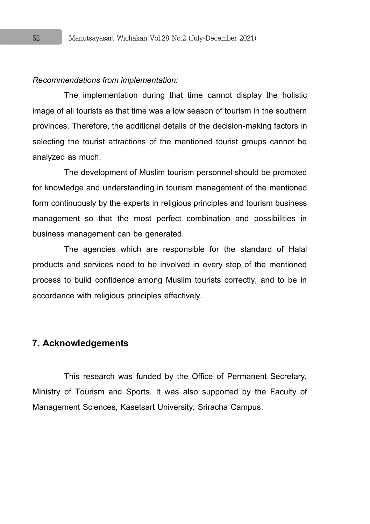#### *Recommendations from implementation:*

The implementation during that time cannot display the holistic image of all tourists as that time was a low season of tourism in the southern provinces. Therefore, the additional details of the decision-making factors in selecting the tourist attractions of the mentioned tourist groups cannot be analyzed as much.

The development of Muslim tourism personnel should be promoted for knowledge and understanding in tourism management of the mentioned form continuously by the experts in religious principles and tourism business management so that the most perfect combination and possibilities in business management can be generated.

The agencies which are responsible for the standard of Halal products and services need to be involved in every step of the mentioned process to build confidence among Muslim tourists correctly, and to be in accordance with religious principles effectively.

#### **7. Acknowledgements**

This research was funded by the Office of Permanent Secretary, Ministry of Tourism and Sports. It was also supported by the Faculty of Management Sciences, Kasetsart University, Sriracha Campus.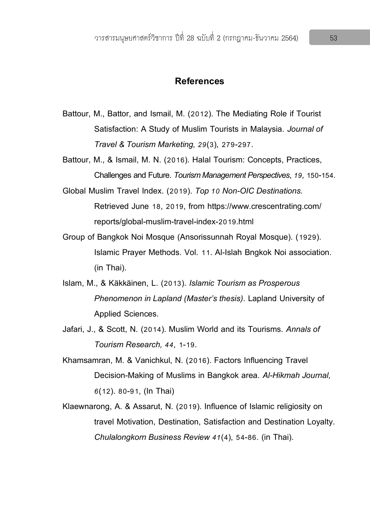#### **References**

- Battour, M., Battor, and Ismail, M. (2012). The Mediating Role if Tourist Satisfaction: A Study of Muslim Tourists in Malaysia. *Journal of Travel & Tourism Marketing, 29*(3), 279-297.
- Battour, M., & Ismail, M. N. (2016). Halal Tourism: Concepts, Practices, Challenges and Future. *Tourism Management Perspectives*, *19*, 150-154.
- Global Muslim Travel Index. (2019). *Top 10 Non-OIC Destinations.* Retrieved June 18, 2019, from https://www.crescentrating.com/ reports/global-muslim-travel-index-2019.html
- Group of Bangkok Noi Mosque (Ansorissunnah Royal Mosque). (1929). Islamic Prayer Methods. Vol. 11. Al-Islah Bngkok Noi association. (in Thai).
- Islam, M., & Käkkäinen, L. (2013). *Islamic Tourism as Prosperous Phenomenon in Lapland (Master's thesis)*. Lapland University of Applied Sciences.
- Jafari, J., & Scott, N. (2014). Muslim World and its Tourisms. *Annals of Tourism Research, 44*, 1-19.
- Khamsamran, M. & Vanichkul, N. (2016). Factors Influencing Travel Decision-Making of Muslims in Bangkok area. *Al-Hikmah Journal, 6*(12). 80-91, (In Thai)
- Klaewnarong, A. & Assarut, N. (2019). Influence of Islamic religiosity on travel Motivation, Destination, Satisfaction and Destination Loyalty. *Chulalongkorn Business Review 41*(4), 54-86. (in Thai).